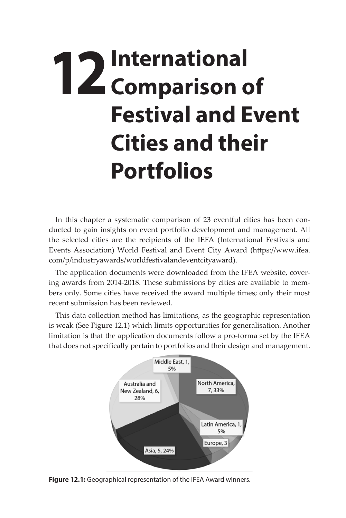## **12** International **12** Comparison of **Comparison of Festival and Event Cities and their Portfolios**

In this chapter a systematic comparison of 23 eventful cities has been conducted to gain insights on event portfolio development and management. All the selected cities are the recipients of the IEFA (International Festivals and Events Association) World Festival and Event City Award (https://www.ifea. com/p/industryawards/worldfestivalandeventcityaward).

The application documents were downloaded from the IFEA website, covering awards from 2014-2018. These submissions by cities are available to members only. Some cities have received the award multiple times; only their most recent submission has been reviewed.

This data collection method has limitations, as the geographic representation is weak (See Figure 12.1) which limits opportunities for generalisation. Another limitation is that the application documents follow a pro-forma set by the IFEA that does not specifically pertain to portfolios and their design and management.



**Figure 12.1:** Geographical representation of the IFEA Award winners.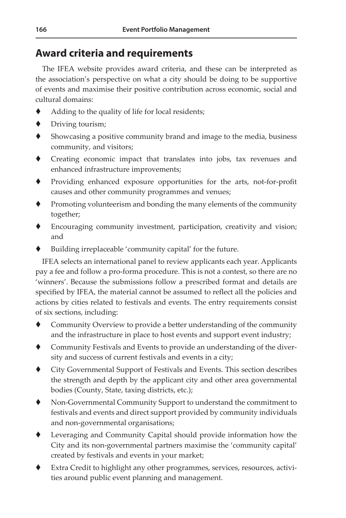## **Award criteria and requirements**

The IFEA website provides award criteria, and these can be interpreted as the association's perspective on what a city should be doing to be supportive of events and maximise their positive contribution across economic, social and cultural domains:

- Adding to the quality of life for local residents;
- ◆ Driving tourism;
- Showcasing a positive community brand and image to the media, business community, and visitors;
- Creating economic impact that translates into jobs, tax revenues and enhanced infrastructure improvements;
- Providing enhanced exposure opportunities for the arts, not-for-profit causes and other community programmes and venues;
- $\blacklozenge$  Promoting volunteerism and bonding the many elements of the community together;
- Encouraging community investment, participation, creativity and vision; and
- Building irreplaceable 'community capital' for the future.

IFEA selects an international panel to review applicants each year. Applicants pay a fee and follow a pro-forma procedure. This is not a contest, so there are no 'winners'. Because the submissions follow a prescribed format and details are specified by IFEA, the material cannot be assumed to reflect all the policies and actions by cities related to festivals and events. The entry requirements consist of six sections, including:

- Community Overview to provide a better understanding of the community and the infrastructure in place to host events and support event industry;
- Community Festivals and Events to provide an understanding of the diversity and success of current festivals and events in a city;
- City Governmental Support of Festivals and Events. This section describes the strength and depth by the applicant city and other area governmental bodies (County, State, taxing districts, etc.);
- Non-Governmental Community Support to understand the commitment to festivals and events and direct support provided by community individuals and non-governmental organisations;
- Leveraging and Community Capital should provide information how the City and its non-governmental partners maximise the 'community capital' created by festivals and events in your market;
- Extra Credit to highlight any other programmes, services, resources, activities around public event planning and management.